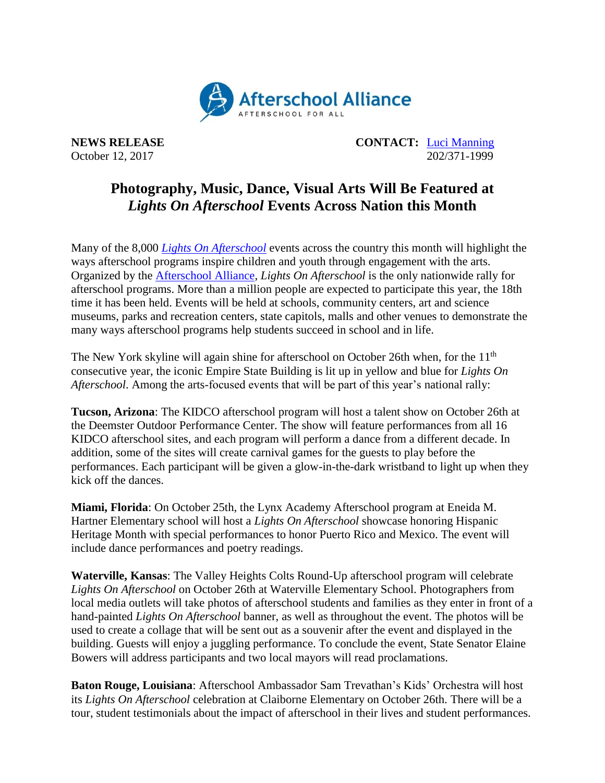

**NEWS RELEASE CONTACT:** [Luci Manning](mailto:luci@prsolutionsdc.com) October 12, 2017 202/371-1999

## **Photography, Music, Dance, Visual Arts Will Be Featured at** *Lights On Afterschool* **Events Across Nation this Month**

Many of the 8,000 *[Lights On Afterschool](http://www.afterschoolalliance.org/loa.cfm)* events across the country this month will highlight the ways afterschool programs inspire children and youth through engagement with the arts. Organized by the [Afterschool Alliance,](http://www.afterschoolalliance.org/) *Lights On Afterschool* is the only nationwide rally for afterschool programs. More than a million people are expected to participate this year, the 18th time it has been held. Events will be held at schools, community centers, art and science museums, parks and recreation centers, state capitols, malls and other venues to demonstrate the many ways afterschool programs help students succeed in school and in life.

The New York skyline will again shine for afterschool on October 26th when, for the 11<sup>th</sup> consecutive year, the iconic Empire State Building is lit up in yellow and blue for *Lights On Afterschool*. Among the arts-focused events that will be part of this year's national rally:

**Tucson, Arizona**: The KIDCO afterschool program will host a talent show on October 26th at the Deemster Outdoor Performance Center. The show will feature performances from all 16 KIDCO afterschool sites, and each program will perform a dance from a different decade. In addition, some of the sites will create carnival games for the guests to play before the performances. Each participant will be given a glow-in-the-dark wristband to light up when they kick off the dances.

**Miami, Florida**: On October 25th, the Lynx Academy Afterschool program at Eneida M. Hartner Elementary school will host a *Lights On Afterschool* showcase honoring Hispanic Heritage Month with special performances to honor Puerto Rico and Mexico. The event will include dance performances and poetry readings.

**Waterville, Kansas**: The Valley Heights Colts Round-Up afterschool program will celebrate *Lights On Afterschool* on October 26th at Waterville Elementary School. Photographers from local media outlets will take photos of afterschool students and families as they enter in front of a hand-painted *Lights On Afterschool* banner, as well as throughout the event. The photos will be used to create a collage that will be sent out as a souvenir after the event and displayed in the building. Guests will enjoy a juggling performance. To conclude the event, State Senator Elaine Bowers will address participants and two local mayors will read proclamations.

**Baton Rouge, Louisiana**: Afterschool Ambassador Sam Trevathan's Kids' Orchestra will host its *Lights On Afterschool* celebration at Claiborne Elementary on October 26th. There will be a tour, student testimonials about the impact of afterschool in their lives and student performances.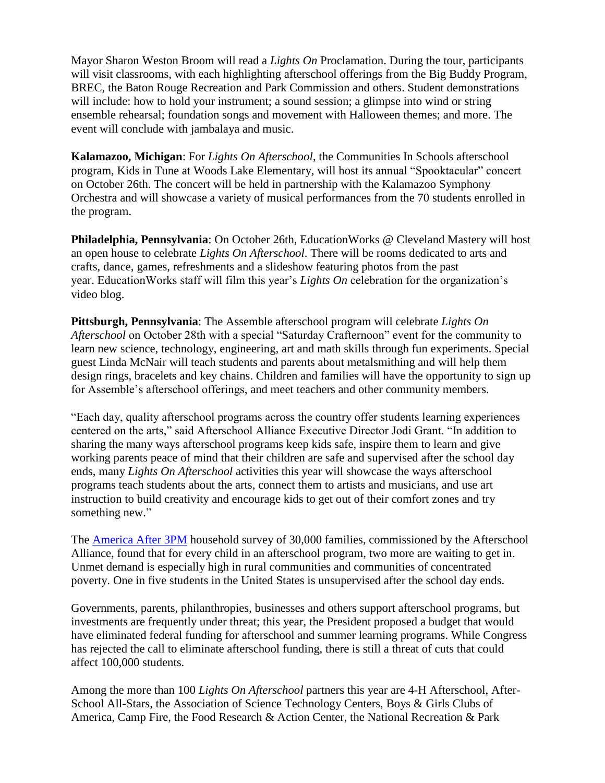Mayor Sharon Weston Broom will read a *Lights On* Proclamation. During the tour, participants will visit classrooms, with each highlighting afterschool offerings from the Big Buddy Program, BREC, the Baton Rouge Recreation and Park Commission and others. Student demonstrations will include: how to hold your instrument; a sound session; a glimpse into wind or string ensemble rehearsal; foundation songs and movement with Halloween themes; and more. The event will conclude with jambalaya and music.

**Kalamazoo, Michigan**: For *Lights On Afterschool*, the Communities In Schools afterschool program, Kids in Tune at Woods Lake Elementary, will host its annual "Spooktacular" concert on October 26th. The concert will be held in partnership with the Kalamazoo Symphony Orchestra and will showcase a variety of musical performances from the 70 students enrolled in the program.

**Philadelphia, Pennsylvania**: On October 26th, EducationWorks @ Cleveland Mastery will host an open house to celebrate *Lights On Afterschool*. There will be rooms dedicated to arts and crafts, dance, games, refreshments and a slideshow featuring photos from the past year. EducationWorks staff will film this year's *Lights On* celebration for the organization's video blog.

**Pittsburgh, Pennsylvania**: The Assemble afterschool program will celebrate *Lights On Afterschool* on October 28th with a special "Saturday Crafternoon" event for the community to learn new science, technology, engineering, art and math skills through fun experiments. Special guest Linda McNair will teach students and parents about metalsmithing and will help them design rings, bracelets and key chains. Children and families will have the opportunity to sign up for Assemble's afterschool offerings, and meet teachers and other community members.

"Each day, quality afterschool programs across the country offer students learning experiences centered on the arts," said Afterschool Alliance Executive Director Jodi Grant. "In addition to sharing the many ways afterschool programs keep kids safe, inspire them to learn and give working parents peace of mind that their children are safe and supervised after the school day ends, many *Lights On Afterschool* activities this year will showcase the ways afterschool programs teach students about the arts, connect them to artists and musicians, and use art instruction to build creativity and encourage kids to get out of their comfort zones and try something new."

The [America After 3PM](http://www.afterschoolalliance.org/AA3PM/) household survey of 30,000 families, commissioned by the Afterschool Alliance, found that for every child in an afterschool program, two more are waiting to get in. Unmet demand is especially high in rural communities and communities of concentrated poverty. One in five students in the United States is unsupervised after the school day ends.

Governments, parents, philanthropies, businesses and others support afterschool programs, but investments are frequently under threat; this year, the President proposed a budget that would have eliminated federal funding for afterschool and summer learning programs. While Congress has rejected the call to eliminate afterschool funding, there is still a threat of cuts that could affect 100,000 students.

Among the more than 100 *Lights On Afterschool* partners this year are 4-H Afterschool, After-School All-Stars, the Association of Science Technology Centers, Boys & Girls Clubs of America, Camp Fire, the Food Research & Action Center, the National Recreation & Park